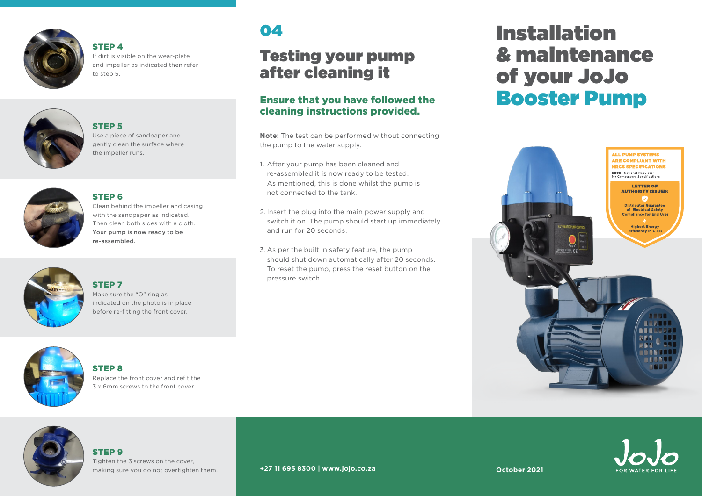

#### STEP 4 If dirt is visible on the wear-plate and impeller as indicated then refer to step 5.



#### STEP 5

Use a piece of sandpaper and gently clean the surface where the impeller runs.

#### STEP 6



#### Clean behind the impeller and casing with the sandpaper as indicated. Then clean both sides with a cloth. Your pump is now ready to be re-assembled.

### STEP 7



#### Make sure the "O" ring as indicated on the photo is in place before re-fitting the front cover.



#### STEP 8

Replace the front cover and refit the 3 x 6mm screws to the front cover.

# 04

### Testing your pump after cleaning it

#### Ensure that you have followed the cleaning instructions provided.

**Note:** The test can be performed without connecting the pump to the water supply.

- 1. After your pump has been cleaned and re-assembled it is now ready to be tested. As mentioned, this is done whilst the pump is not connected to the tank.
- 2. Insert the plug into the main power supply and switch it on. The pump should start up immediately and run for 20 seconds.
- 3. As per the built in safety feature, the pump should shut down automatically after 20 seconds. To reset the pump, press the reset button on the pressure switch.

# Installation & maintenance of your JoJo Booster Pump





### STEP 9

Tighten the 3 screws on the cover, making sure you do not overtighten them.

#### **+27 11 695 8300 | www.jojo.co.za**

**October 2021**